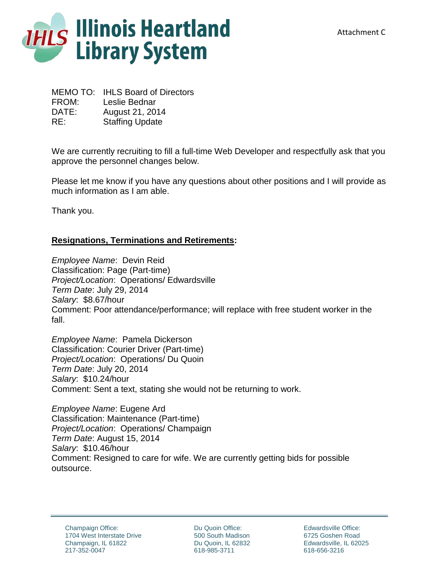

MEMO TO: IHLS Board of Directors FROM: Leslie Bednar DATE: August 21, 2014 RE: Staffing Update

We are currently recruiting to fill a full-time Web Developer and respectfully ask that you approve the personnel changes below.

Please let me know if you have any questions about other positions and I will provide as much information as I am able.

Thank you.

## **Resignations, Terminations and Retirements:**

*Employee Name*: Devin Reid Classification: Page (Part-time) *Project/Location*: Operations/ Edwardsville *Term Date*: July 29, 2014 *Salary*: \$8.67/hour Comment: Poor attendance/performance; will replace with free student worker in the fall.

*Employee Name*: Pamela Dickerson Classification: Courier Driver (Part-time) *Project/Location*: Operations/ Du Quoin *Term Date*: July 20, 2014 *Salary*: \$10.24/hour Comment: Sent a text, stating she would not be returning to work.

*Employee Name*: Eugene Ard Classification: Maintenance (Part-time) *Project/Location*: Operations/ Champaign *Term Date*: August 15, 2014 *Salary*: \$10.46/hour Comment: Resigned to care for wife. We are currently getting bids for possible outsource.

Du Quoin Office: 500 South Madison Du Quoin, IL 62832 618-985-3711

Edwardsville Office: 6725 Goshen Road Edwardsville, IL 62025 618-656-3216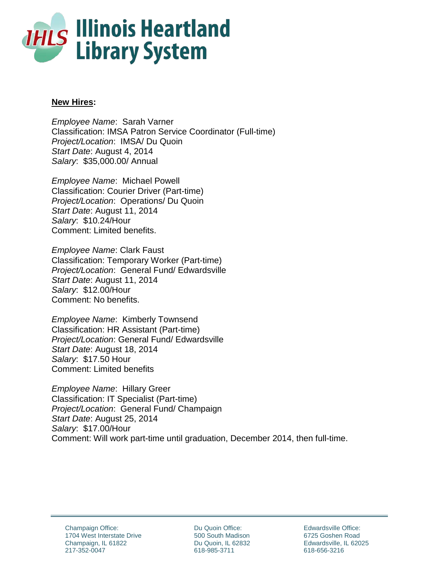

## **New Hires:**

*Employee Name*: Sarah Varner Classification: IMSA Patron Service Coordinator (Full-time) *Project/Location*: IMSA/ Du Quoin *Start Date*: August 4, 2014 *Salary*: \$35,000.00/ Annual

*Employee Name*: Michael Powell Classification: Courier Driver (Part-time) *Project/Location*: Operations/ Du Quoin *Start Date*: August 11, 2014 *Salary*: \$10.24/Hour Comment: Limited benefits.

*Employee Name*: Clark Faust Classification: Temporary Worker (Part-time) *Project/Location*: General Fund/ Edwardsville *Start Date*: August 11, 2014 *Salary*: \$12.00/Hour Comment: No benefits.

*Employee Name*: Kimberly Townsend Classification: HR Assistant (Part-time) *Project/Location*: General Fund/ Edwardsville *Start Date*: August 18, 2014 *Salary*: \$17.50 Hour Comment: Limited benefits

*Employee Name*: Hillary Greer Classification: IT Specialist (Part-time) *Project/Location*: General Fund/ Champaign *Start Date*: August 25, 2014 *Salary*: \$17.00/Hour Comment: Will work part-time until graduation, December 2014, then full-time.

Du Quoin Office: 500 South Madison Du Quoin, IL 62832 618-985-3711

Edwardsville Office: 6725 Goshen Road Edwardsville, IL 62025 618-656-3216